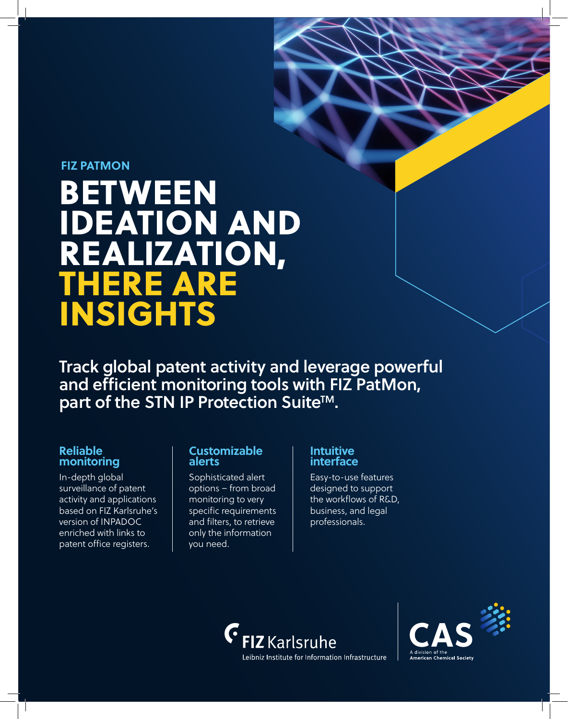# BETWEEN IDEATION AND REALIZATION, THERE ARE INSIGHTS **FIZ PATMON**

Track global patent activity and leverage powerful and efficient monitoring tools with FIZ PatMon, part of the STN IP Protection Suite<sup>™</sup>.

## **Reliable monitoring**

In-depth global surveillance of patent activity and applications based on FIZ Karlsruhe's version of INPADOC enriched with links to patent office registers.

#### **Customizable alerts**

Sophisticated alert options – from broad monitoring to very specific requirements and filters, to retrieve only the information you need.

## **Intuitive interface**

Easy-to-use features designed to support the workflows of R&D, business, and legal professionals.